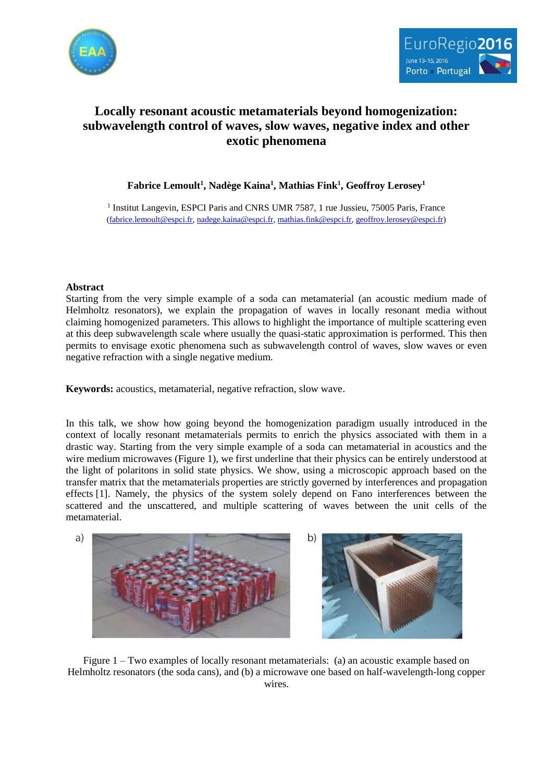



## **Locally resonant acoustic metamaterials beyond homogenization: subwavelength control of waves, slow waves, negative index and other exotic phenomena**

**Fabrice Lemoult<sup>1</sup> , Nadège Kaina<sup>1</sup> , Mathias Fink<sup>1</sup> , Geoffroy Lerosey<sup>1</sup>**

<sup>1</sup> Institut Langevin, ESPCI Paris and CNRS UMR 7587, 1 rue Jussieu, 75005 Paris, France [\(fabrice.lemoult@espci.fr,](mailto:fabrice.lemoult@espci.fr) [nadege.kaina@espci.fr,](mailto:nadege.kaina@espci.fr) [mathias.fink@espci.fr,](mailto:mathias.fink@espci.fr) [geoffroy.lerosey@espci.fr\)](mailto:geoffroy.lerosey@espci.fr)

## **Abstract**

Starting from the very simple example of a soda can metamaterial (an acoustic medium made of Helmholtz resonators), we explain the propagation of waves in locally resonant media without claiming homogenized parameters. This allows to highlight the importance of multiple scattering even at this deep subwavelength scale where usually the quasi-static approximation is performed. This then permits to envisage exotic phenomena such as subwavelength control of waves, slow waves or even negative refraction with a single negative medium.

**Keywords:** acoustics, metamaterial, negative refraction, slow wave.

In this talk, we show how going beyond the homogenization paradigm usually introduced in the context of locally resonant metamaterials permits to enrich the physics associated with them in a drastic way. Starting from the very simple example of a soda can metamaterial in acoustics and the wire medium microwaves (Figure 1), we first underline that their physics can be entirely understood at the light of polaritons in solid state physics. We show, using a microscopic approach based on the transfer matrix that the metamaterials properties are strictly governed by interferences and propagation effects [1]. Namely, the physics of the system solely depend on Fano interferences between the scattered and the unscattered, and multiple scattering of waves between the unit cells of the metamaterial.



Figure 1 – Two examples of locally resonant metamaterials: (a) an acoustic example based on Helmholtz resonators (the soda cans), and (b) a microwave one based on half-wavelength-long copper wires.